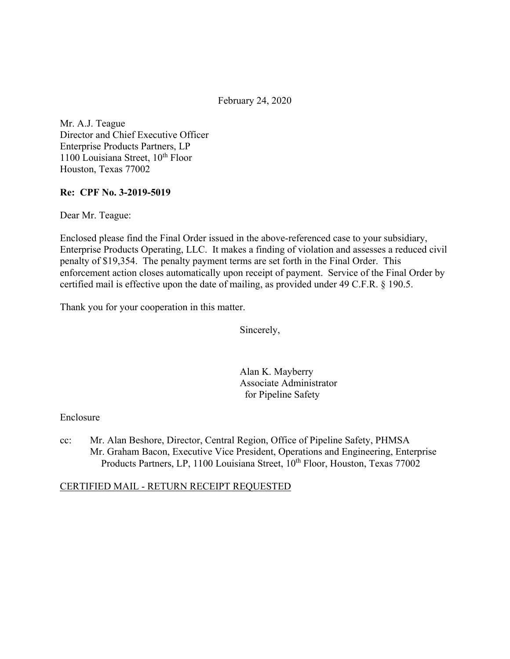February 24, 2020

Mr. A.J. Teague Director and Chief Executive Officer Enterprise Products Partners, LP  $1100$  Louisiana Street,  $10^{th}$  Floor Houston, Texas 77002

#### **Re: CPF No. 3-2019-5019**

Dear Mr. Teague:

Enclosed please find the Final Order issued in the above-referenced case to your subsidiary, Enterprise Products Operating, LLC. It makes a finding of violation and assesses a reduced civil penalty of \$19,354. The penalty payment terms are set forth in the Final Order. This enforcement action closes automatically upon receipt of payment. Service of the Final Order by certified mail is effective upon the date of mailing, as provided under 49 C.F.R. § 190.5.

Thank you for your cooperation in this matter.

Sincerely,

Alan K. Mayberry Associate Administrator for Pipeline Safety

#### Enclosure

cc: Mr. Alan Beshore, Director, Central Region, Office of Pipeline Safety, PHMSA Mr. Graham Bacon, Executive Vice President, Operations and Engineering, Enterprise Products Partners, LP, 1100 Louisiana Street, 10<sup>th</sup> Floor, Houston, Texas 77002

#### CERTIFIED MAIL - RETURN RECEIPT REQUESTED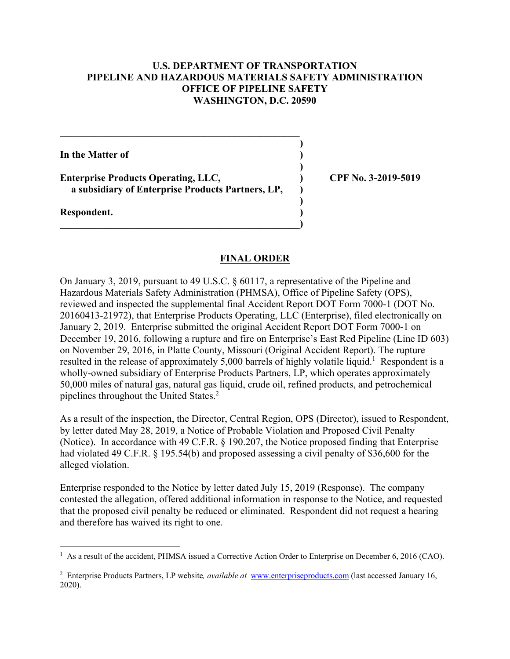### **U.S. DEPARTMENT OF TRANSPORTATION PIPELINE AND HAZARDOUS MATERIALS SAFETY ADMINISTRATION OFFICE OF PIPELINE SAFETY WASHINGTON, D.C. 20590**

**)** 

**)** 

**)** 

**In the Matter of )** 

Enterprise Products Operating, LLC, <br>
(2019-5019) **a subsidiary of Enterprise Products Partners, LP, )** 

 $\overline{\phantom{a}}$ 

**\_\_\_\_\_\_\_\_\_\_\_\_\_\_\_\_\_\_\_\_\_\_\_\_\_\_\_\_\_\_\_\_\_\_\_\_\_\_\_\_\_\_\_\_\_\_\_\_** 

**Respondent. )** 

#### **FINAL ORDER**

On January 3, 2019, pursuant to 49 U.S.C. § 60117, a representative of the Pipeline and Hazardous Materials Safety Administration (PHMSA), Office of Pipeline Safety (OPS), reviewed and inspected the supplemental final Accident Report DOT Form 7000-1 (DOT No. 20160413-21972), that Enterprise Products Operating, LLC (Enterprise), filed electronically on January 2, 2019. Enterprise submitted the original Accident Report DOT Form 7000-1 on December 19, 2016, following a rupture and fire on Enterprise's East Red Pipeline (Line ID 603) on November 29, 2016, in Platte County, Missouri (Original Accident Report). The rupture resulted in the release of approximately 5,000 barrels of highly volatile liquid.<sup>1</sup> Respondent is a wholly-owned subsidiary of Enterprise Products Partners, LP, which operates approximately 50,000 miles of natural gas, natural gas liquid, crude oil, refined products, and petrochemical pipelines throughout the United States.2

As a result of the inspection, the Director, Central Region, OPS (Director), issued to Respondent, by letter dated May 28, 2019, a Notice of Probable Violation and Proposed Civil Penalty (Notice). In accordance with 49 C.F.R. § 190.207, the Notice proposed finding that Enterprise had violated 49 C.F.R. § 195.54(b) and proposed assessing a civil penalty of \$36,600 for the alleged violation.

Enterprise responded to the Notice by letter dated July 15, 2019 (Response). The company contested the allegation, offered additional information in response to the Notice, and requested that the proposed civil penalty be reduced or eliminated. Respondent did not request a hearing and therefore has waived its right to one.

<sup>&</sup>lt;sup>1</sup> As a result of the accident, PHMSA issued a Corrective Action Order to Enterprise on December 6, 2016 (CAO).

<sup>&</sup>lt;sup>2</sup> Enterprise Products Partners, LP website, *available at* <www.enterpriseproducts.com> (last accessed January 16, 2020).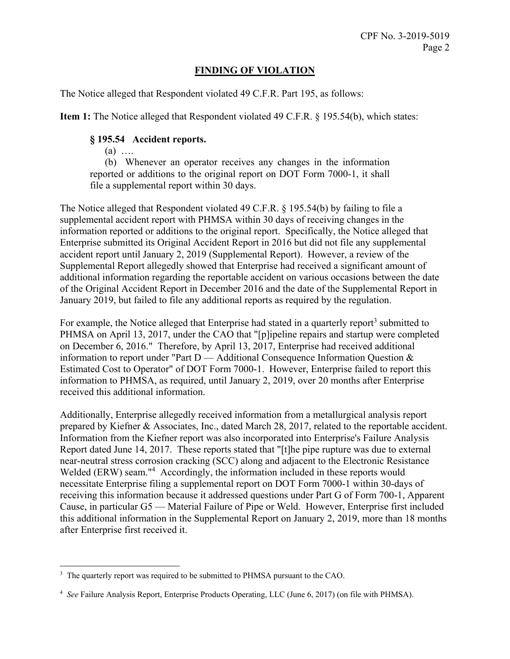# **FINDING OF VIOLATION**

The Notice alleged that Respondent violated 49 C.F.R. Part 195, as follows:

**Item 1:** The Notice alleged that Respondent violated 49 C.F.R. § 195.54(b), which states:

## **§ 195.54 Accident reports.**

 $(a)$  …

(b) Whenever an operator receives any changes in the information reported or additions to the original report on DOT Form 7000-1, it shall file a supplemental report within 30 days.

The Notice alleged that Respondent violated 49 C.F.R. § 195.54(b) by failing to file a supplemental accident report with PHMSA within 30 days of receiving changes in the information reported or additions to the original report. Specifically, the Notice alleged that Enterprise submitted its Original Accident Report in 2016 but did not file any supplemental accident report until January 2, 2019 (Supplemental Report). However, a review of the Supplemental Report allegedly showed that Enterprise had received a significant amount of additional information regarding the reportable accident on various occasions between the date of the Original Accident Report in December 2016 and the date of the Supplemental Report in January 2019, but failed to file any additional reports as required by the regulation.

For example, the Notice alleged that Enterprise had stated in a quarterly report<sup>3</sup> submitted to PHMSA on April 13, 2017, under the CAO that "[p]ipeline repairs and startup were completed on December 6, 2016." Therefore, by April 13, 2017, Enterprise had received additional information to report under "Part D — Additional Consequence Information Question & Estimated Cost to Operator" of DOT Form 7000-1. However, Enterprise failed to report this information to PHMSA, as required, until January 2, 2019, over 20 months after Enterprise received this additional information.

Additionally, Enterprise allegedly received information from a metallurgical analysis report prepared by Kiefner & Associates, Inc., dated March 28, 2017, related to the reportable accident. Information from the Kiefner report was also incorporated into Enterprise's Failure Analysis Report dated June 14, 2017. These reports stated that "[t]he pipe rupture was due to external near-neutral stress corrosion cracking (SCC) along and adjacent to the Electronic Resistance Welded (ERW) seam."<sup>4</sup> Accordingly, the information included in these reports would necessitate Enterprise filing a supplemental report on DOT Form 7000-1 within 30-days of receiving this information because it addressed questions under Part G of Form 700-1, Apparent Cause, in particular G5 — Material Failure of Pipe or Weld. However, Enterprise first included this additional information in the Supplemental Report on January 2, 2019, more than 18 months after Enterprise first received it.

 $\overline{a}$ <sup>3</sup> The quarterly report was required to be submitted to PHMSA pursuant to the CAO.

 4 *See* Failure Analysis Report, Enterprise Products Operating, LLC (June 6, 2017) (on file with PHMSA).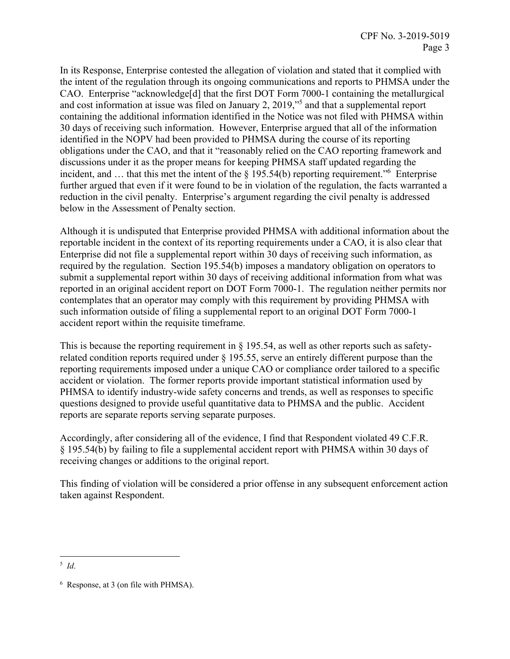In its Response, Enterprise contested the allegation of violation and stated that it complied with the intent of the regulation through its ongoing communications and reports to PHMSA under the CAO. Enterprise "acknowledge[d] that the first DOT Form 7000-1 containing the metallurgical and cost information at issue was filed on January 2, 2019,"5 and that a supplemental report containing the additional information identified in the Notice was not filed with PHMSA within 30 days of receiving such information. However, Enterprise argued that all of the information identified in the NOPV had been provided to PHMSA during the course of its reporting obligations under the CAO, and that it "reasonably relied on the CAO reporting framework and discussions under it as the proper means for keeping PHMSA staff updated regarding the incident, and ... that this met the intent of the § 195.54(b) reporting requirement.<sup>"6</sup> Enterprise further argued that even if it were found to be in violation of the regulation, the facts warranted a reduction in the civil penalty. Enterprise's argument regarding the civil penalty is addressed below in the Assessment of Penalty section.

Although it is undisputed that Enterprise provided PHMSA with additional information about the reportable incident in the context of its reporting requirements under a CAO, it is also clear that Enterprise did not file a supplemental report within 30 days of receiving such information, as required by the regulation. Section 195.54(b) imposes a mandatory obligation on operators to submit a supplemental report within 30 days of receiving additional information from what was reported in an original accident report on DOT Form 7000-1. The regulation neither permits nor contemplates that an operator may comply with this requirement by providing PHMSA with such information outside of filing a supplemental report to an original DOT Form 7000-1 accident report within the requisite timeframe.

This is because the reporting requirement in § 195.54, as well as other reports such as safetyrelated condition reports required under § 195.55, serve an entirely different purpose than the reporting requirements imposed under a unique CAO or compliance order tailored to a specific accident or violation. The former reports provide important statistical information used by PHMSA to identify industry-wide safety concerns and trends, as well as responses to specific questions designed to provide useful quantitative data to PHMSA and the public. Accident reports are separate reports serving separate purposes.

Accordingly, after considering all of the evidence, I find that Respondent violated 49 C.F.R. § 195.54(b) by failing to file a supplemental accident report with PHMSA within 30 days of receiving changes or additions to the original report.

This finding of violation will be considered a prior offense in any subsequent enforcement action taken against Respondent.

 $\overline{a}$ <sup>5</sup>*Id*.

 6 Response, at 3 (on file with PHMSA).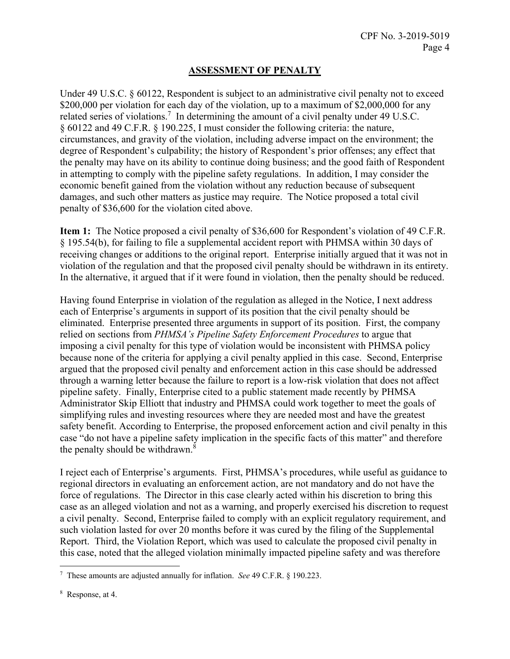# **ASSESSMENT OF PENALTY**

Under 49 U.S.C. § 60122, Respondent is subject to an administrative civil penalty not to exceed \$200,000 per violation for each day of the violation, up to a maximum of \$2,000,000 for any related series of violations.<sup>7</sup> In determining the amount of a civil penalty under 49 U.S.C. § 60122 and 49 C.F.R. § 190.225, I must consider the following criteria: the nature, circumstances, and gravity of the violation, including adverse impact on the environment; the degree of Respondent's culpability; the history of Respondent's prior offenses; any effect that the penalty may have on its ability to continue doing business; and the good faith of Respondent in attempting to comply with the pipeline safety regulations. In addition, I may consider the economic benefit gained from the violation without any reduction because of subsequent damages, and such other matters as justice may require. The Notice proposed a total civil penalty of \$36,600 for the violation cited above.

**Item 1:** The Notice proposed a civil penalty of \$36,600 for Respondent's violation of 49 C.F.R. § 195.54(b), for failing to file a supplemental accident report with PHMSA within 30 days of receiving changes or additions to the original report. Enterprise initially argued that it was not in violation of the regulation and that the proposed civil penalty should be withdrawn in its entirety. In the alternative, it argued that if it were found in violation, then the penalty should be reduced.

Having found Enterprise in violation of the regulation as alleged in the Notice, I next address each of Enterprise's arguments in support of its position that the civil penalty should be eliminated. Enterprise presented three arguments in support of its position. First, the company relied on sections from *PHMSA's Pipeline Safety Enforcement Procedures* to argue that imposing a civil penalty for this type of violation would be inconsistent with PHMSA policy because none of the criteria for applying a civil penalty applied in this case. Second, Enterprise argued that the proposed civil penalty and enforcement action in this case should be addressed through a warning letter because the failure to report is a low-risk violation that does not affect pipeline safety. Finally, Enterprise cited to a public statement made recently by PHMSA Administrator Skip Elliott that industry and PHMSA could work together to meet the goals of simplifying rules and investing resources where they are needed most and have the greatest safety benefit. According to Enterprise, the proposed enforcement action and civil penalty in this case "do not have a pipeline safety implication in the specific facts of this matter" and therefore the penalty should be withdrawn.<sup>8</sup>

I reject each of Enterprise's arguments. First, PHMSA's procedures, while useful as guidance to regional directors in evaluating an enforcement action, are not mandatory and do not have the force of regulations. The Director in this case clearly acted within his discretion to bring this case as an alleged violation and not as a warning, and properly exercised his discretion to request a civil penalty. Second, Enterprise failed to comply with an explicit regulatory requirement, and such violation lasted for over 20 months before it was cured by the filing of the Supplemental Report. Third, the Violation Report, which was used to calculate the proposed civil penalty in this case, noted that the alleged violation minimally impacted pipeline safety and was therefore

 $\overline{a}$ 

<sup>7</sup> These amounts are adjusted annually for inflation. *See* 49 C.F.R. § 190.223.

<sup>8</sup> Response, at 4.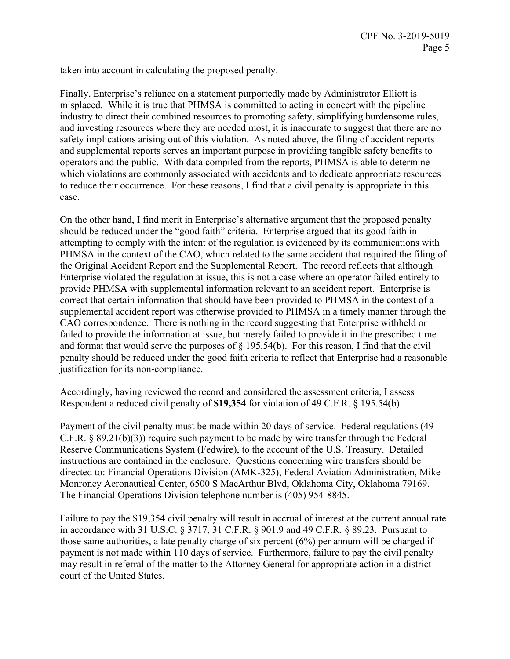taken into account in calculating the proposed penalty.

Finally, Enterprise's reliance on a statement purportedly made by Administrator Elliott is misplaced. While it is true that PHMSA is committed to acting in concert with the pipeline industry to direct their combined resources to promoting safety, simplifying burdensome rules, and investing resources where they are needed most, it is inaccurate to suggest that there are no safety implications arising out of this violation. As noted above, the filing of accident reports and supplemental reports serves an important purpose in providing tangible safety benefits to operators and the public. With data compiled from the reports, PHMSA is able to determine which violations are commonly associated with accidents and to dedicate appropriate resources to reduce their occurrence. For these reasons, I find that a civil penalty is appropriate in this case.

On the other hand, I find merit in Enterprise's alternative argument that the proposed penalty should be reduced under the "good faith" criteria. Enterprise argued that its good faith in attempting to comply with the intent of the regulation is evidenced by its communications with PHMSA in the context of the CAO, which related to the same accident that required the filing of the Original Accident Report and the Supplemental Report. The record reflects that although Enterprise violated the regulation at issue, this is not a case where an operator failed entirely to provide PHMSA with supplemental information relevant to an accident report. Enterprise is correct that certain information that should have been provided to PHMSA in the context of a supplemental accident report was otherwise provided to PHMSA in a timely manner through the CAO correspondence. There is nothing in the record suggesting that Enterprise withheld or failed to provide the information at issue, but merely failed to provide it in the prescribed time and format that would serve the purposes of § 195.54(b). For this reason, I find that the civil penalty should be reduced under the good faith criteria to reflect that Enterprise had a reasonable justification for its non-compliance.

Accordingly, having reviewed the record and considered the assessment criteria, I assess Respondent a reduced civil penalty of **\$19,354** for violation of 49 C.F.R. § 195.54(b).

Payment of the civil penalty must be made within 20 days of service. Federal regulations (49 C.F.R. § 89.21(b)(3)) require such payment to be made by wire transfer through the Federal Reserve Communications System (Fedwire), to the account of the U.S. Treasury. Detailed instructions are contained in the enclosure. Questions concerning wire transfers should be directed to: Financial Operations Division (AMK-325), Federal Aviation Administration, Mike Monroney Aeronautical Center, 6500 S MacArthur Blvd, Oklahoma City, Oklahoma 79169. The Financial Operations Division telephone number is (405) 954-8845.

Failure to pay the \$19,354 civil penalty will result in accrual of interest at the current annual rate in accordance with 31 U.S.C. § 3717, 31 C.F.R. § 901.9 and 49 C.F.R. § 89.23. Pursuant to those same authorities, a late penalty charge of six percent (6%) per annum will be charged if payment is not made within 110 days of service. Furthermore, failure to pay the civil penalty may result in referral of the matter to the Attorney General for appropriate action in a district court of the United States.